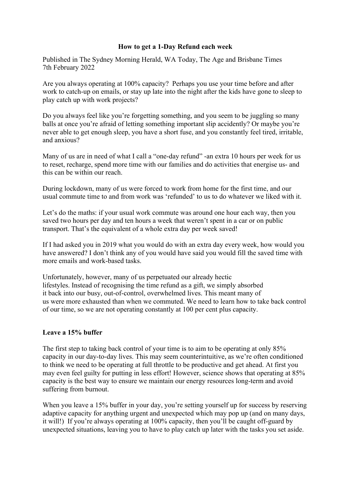## **How to get a 1-Day Refund each week**

Published in The Sydney Morning Herald, WA Today, The Age and Brisbane Times 7th February 2022

Are you always operating at 100% capacity? Perhaps you use your time before and after work to catch-up on emails, or stay up late into the night after the kids have gone to sleep to play catch up with work projects?

Do you always feel like you're forgetting something, and you seem to be juggling so many balls at once you're afraid of letting something important slip accidently? Or maybe you're never able to get enough sleep, you have a short fuse, and you constantly feel tired, irritable, and anxious?

Many of us are in need of what I call a "one-day refund" -an extra 10 hours per week for us to reset, recharge, spend more time with our families and do activities that energise us- and this can be within our reach.

During lockdown, many of us were forced to work from home for the first time, and our usual commute time to and from work was 'refunded' to us to do whatever we liked with it.

Let's do the maths: if your usual work commute was around one hour each way, then you saved two hours per day and ten hours a week that weren't spent in a car or on public transport. That's the equivalent of a whole extra day per week saved!

If I had asked you in 2019 what you would do with an extra day every week, how would you have answered? I don't think any of you would have said you would fill the saved time with more emails and work-based tasks.

Unfortunately, however, many of us perpetuated our already hectic lifestyles. Instead of recognising the time refund as a gift, we simply absorbed it back into our busy, out-of-control, overwhelmed lives. This meant many of us were more exhausted than when we commuted. We need to learn how to take back control of our time, so we are not operating constantly at 100 per cent plus capacity.

## **Leave a 15% buffer**

The first step to taking back control of your time is to aim to be operating at only 85% capacity in our day-to-day lives. This may seem counterintuitive, as we're often conditioned to think we need to be operating at full throttle to be productive and get ahead. At first you may even feel guilty for putting in less effort! However, science shows that operating at 85% capacity is the best way to ensure we maintain our energy resources long-term and avoid suffering from burnout.

When you leave a 15% buffer in your day, you're setting yourself up for success by reserving adaptive capacity for anything urgent and unexpected which may pop up (and on many days, it will!) If you're always operating at 100% capacity, then you'll be caught off-guard by unexpected situations, leaving you to have to play catch up later with the tasks you set aside.